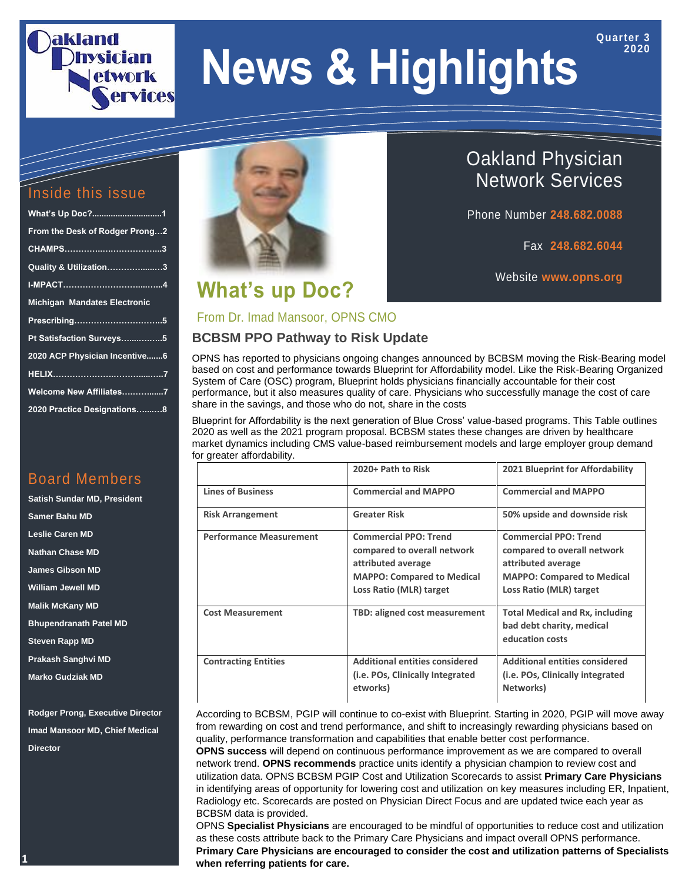# aklanc **Ervices**

# **News & Highlights**

#### Inside this issue

| From the Desk of Rodger Prong2      |
|-------------------------------------|
|                                     |
| Quality & Utilization3              |
|                                     |
| <b>Michigan Mandates Electronic</b> |
|                                     |
|                                     |
| Pt Satisfaction Surveys5            |
| 2020 ACP Physician Incentive6       |
|                                     |
| Welcome New Affiliates7             |

#### Board Members

**Satish Sundar MD, President Samer Bahu MD Leslie Caren MD Nathan Chase MD James Gibson MD William Jewell MD Malik McKany MD Bhupendranath Patel MD Steven Rapp MD Prakash Sanghvi MD Marko Gudziak MD**

**Rodger Prong, Executive Director Imad Mansoor MD, Chief Medical Director**



# **What's up Doc?**

## Oakland Physician Network Services

Phone Number **248.682.0088**

Fax **248.682.6044**

**Quarter 3 2020**

Website **www.opns.org**

#### From Dr. Imad Mansoor, OPNS CMO

#### **BCBSM PPO Pathway to Risk Update**

OPNS has reported to physicians ongoing changes announced by BCBSM moving the Risk-Bearing model based on cost and performance towards Blueprint for Affordability model. Like the Risk-Bearing Organized System of Care (OSC) program, Blueprint holds physicians financially accountable for their cost performance, but it also measures quality of care. Physicians who successfully manage the cost of care share in the savings, and those who do not, share in the costs

Blueprint for Affordability is the next generation of Blue Cross' value-based programs. This Table outlines 2020 as well as the 2021 program proposal. BCBSM states these changes are driven by healthcare market dynamics including CMS value-based reimbursement models and large employer group demand for greater affordability.

|                                | 2020+ Path to Risk                                                                                                                                | 2021 Blueprint for Affordability                                                                                                                  |
|--------------------------------|---------------------------------------------------------------------------------------------------------------------------------------------------|---------------------------------------------------------------------------------------------------------------------------------------------------|
| <b>Lines of Business</b>       | <b>Commercial and MAPPO</b>                                                                                                                       | <b>Commercial and MAPPO</b>                                                                                                                       |
| <b>Risk Arrangement</b>        | <b>Greater Risk</b>                                                                                                                               | 50% upside and downside risk                                                                                                                      |
| <b>Performance Measurement</b> | <b>Commercial PPO: Trend</b><br>compared to overall network<br>attributed average<br><b>MAPPO: Compared to Medical</b><br>Loss Ratio (MLR) target | <b>Commercial PPO: Trend</b><br>compared to overall network<br>attributed average<br><b>MAPPO: Compared to Medical</b><br>Loss Ratio (MLR) target |
| <b>Cost Measurement</b>        | TBD: aligned cost measurement                                                                                                                     | <b>Total Medical and Rx, including</b><br>bad debt charity, medical<br>education costs                                                            |
| <b>Contracting Entities</b>    | <b>Additional entities considered</b><br>(i.e. POs, Clinically Integrated<br>etworks)                                                             | <b>Additional entities considered</b><br>(i.e. POs, Clinically integrated<br>Networks)                                                            |

According to BCBSM, PGIP will continue to co-exist with Blueprint. Starting in 2020, PGIP will move away from rewarding on cost and trend performance, and shift to increasingly rewarding physicians based on quality, performance transformation and capabilities that enable better cost performance.

**OPNS success** will depend on continuous performance improvement as we are compared to overall network trend. **OPNS recommends** practice units identify a physician champion to review cost and utilization data. OPNS BCBSM PGIP Cost and Utilization Scorecards to assist **Primary Care Physicians** in identifying areas of opportunity for lowering cost and utilization on key measures including ER, Inpatient, Radiology etc. Scorecards are posted on Physician Direct Focus and are updated twice each year as BCBSM data is provided.

OPNS **Specialist Physicians** are encouraged to be mindful of opportunities to reduce cost and utilization as these costs attribute back to the Primary Care Physicians and impact overall OPNS performance. **Primary Care Physicians are encouraged to consider the cost and utilization patterns of Specialists when referring patients for care.**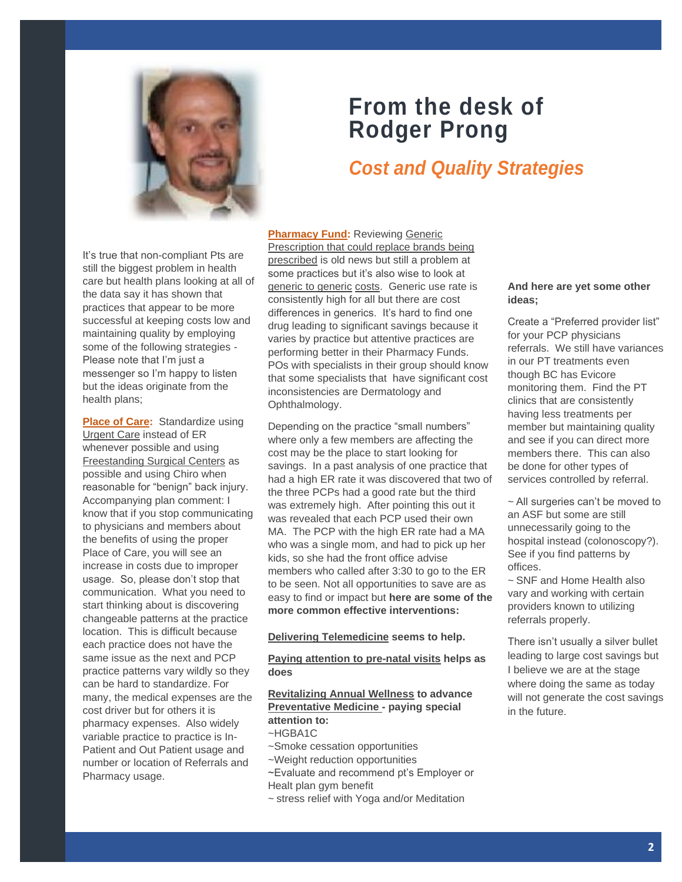

# **From the desk of Rodger Prong**

#### *Cost and Quality Strategies*

It's true that non-compliant Pts are still the biggest problem in health care but health plans looking at all of the data say it has shown that practices that appear to be more successful at keeping costs low and maintaining quality by employing some of the following strategies - Please note that I'm just a messenger so I'm happy to listen but the ideas originate from the health plans;

**Place of Care:** Standardize using Urgent Care instead of ER whenever possible and using Freestanding Surgical Centers as possible and using Chiro when reasonable for "benign" back injury. Accompanying plan comment: I know that if you stop communicating to physicians and members about the benefits of using the proper Place of Care, you will see an increase in costs due to improper usage. So, please don't stop that communication. What you need to start thinking about is discovering changeable patterns at the practice location. This is difficult because each practice does not have the same issue as the next and PCP practice patterns vary wildly so they can be hard to standardize. For many, the medical expenses are the cost driver but for others it is pharmacy expenses. Also widely variable practice to practice is In-Patient and Out Patient usage and number or location of Referrals and Pharmacy usage.

**Pharmacy Fund: Reviewing Generic** Prescription that could replace brands being prescribed is old news but still a problem at some practices but it's also wise to look at generic to generic costs. Generic use rate is consistently high for all but there are cost differences in generics. It's hard to find one drug leading to significant savings because it varies by practice but attentive practices are performing better in their Pharmacy Funds. POs with specialists in their group should know that some specialists that have significant cost inconsistencies are Dermatology and Ophthalmology.

Depending on the practice "small numbers" where only a few members are affecting the cost may be the place to start looking for savings. In a past analysis of one practice that had a high ER rate it was discovered that two of the three PCPs had a good rate but the third was extremely high. After pointing this out it was revealed that each PCP used their own MA. The PCP with the high ER rate had a MA who was a single mom, and had to pick up her kids, so she had the front office advise members who called after 3:30 to go to the ER to be seen. Not all opportunities to save are as easy to find or impact but **here are some of the more common effective interventions:**

**Delivering Telemedicine seems to help.**

**Paying attention to pre-natal visits helps as does** 

#### **Revitalizing Annual Wellness to advance Preventative Medicine - paying special attention to:** ~HGBA1C

- 
- ~Smoke cessation opportunities
- ~Weight reduction opportunities
- ~Evaluate and recommend pt's Employer or Healt plan gym benefit
- ~ stress relief with Yoga and/or Meditation

#### **And here are yet some other ideas;**

Create a "Preferred provider list" for your PCP physicians referrals. We still have variances in our PT treatments even though BC has Evicore monitoring them. Find the PT clinics that are consistently having less treatments per member but maintaining quality and see if you can direct more members there. This can also be done for other types of services controlled by referral.

~ All surgeries can't be moved to an ASF but some are still unnecessarily going to the hospital instead (colonoscopy?). See if you find patterns by offices.

~ SNF and Home Health also vary and working with certain providers known to utilizing referrals properly.

There isn't usually a silver bullet leading to large cost savings but I believe we are at the stage where doing the same as today will not generate the cost savings in the future.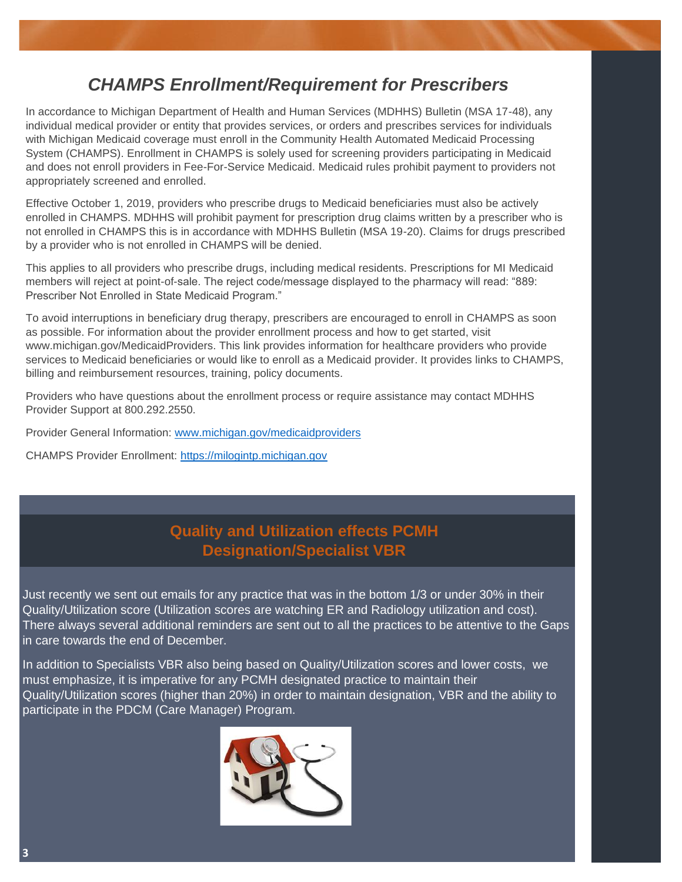#### *CHAMPS Enrollment/Requirement for Prescribers*

In accordance to Michigan Department of Health and Human Services (MDHHS) Bulletin (MSA 17-48), any individual medical provider or entity that provides services, or orders and prescribes services for individuals with Michigan Medicaid coverage must enroll in the Community Health Automated Medicaid Processing System (CHAMPS). Enrollment in CHAMPS is solely used for screening providers participating in Medicaid and does not enroll providers in Fee-For-Service Medicaid. Medicaid rules prohibit payment to providers not appropriately screened and enrolled.

Effective October 1, 2019, providers who prescribe drugs to Medicaid beneficiaries must also be actively enrolled in CHAMPS. MDHHS will prohibit payment for prescription drug claims written by a prescriber who is not enrolled in CHAMPS this is in accordance with MDHHS Bulletin (MSA 19-20). Claims for drugs prescribed by a provider who is not enrolled in CHAMPS will be denied.

This applies to all providers who prescribe drugs, including medical residents. Prescriptions for MI Medicaid members will reject at point-of-sale. The reject code/message displayed to the pharmacy will read: "889: Prescriber Not Enrolled in State Medicaid Program."

To avoid interruptions in beneficiary drug therapy, prescribers are encouraged to enroll in CHAMPS as soon as possible. For information about the provider enrollment process and how to get started, visit www.michigan.gov/MedicaidProviders. This link provides information for healthcare providers who provide services to Medicaid beneficiaries or would like to enroll as a Medicaid provider. It provides links to CHAMPS, billing and reimbursement resources, training, policy documents.

Providers who have questions about the enrollment process or require assistance may contact MDHHS Provider Support at 800.292.2550.

Provider General Information: [www.michigan.gov/medicaidproviders](http://www.michigan.gov/medicaidproviders)

CHAMPS Provider Enrollment: [https://milogintp.michigan.gov](https://milogintp.michigan.gov/)

#### **Quality and Utilization effects PCMH Designation/Specialist VBR**

Just recently we sent out emails for any practice that was in the bottom 1/3 or under 30% in their Quality/Utilization score (Utilization scores are watching ER and Radiology utilization and cost). Guality/Otilization Score (Otilization Scores are watching EN and Nadiology dilization and cost).<br>There always several additional reminders are sent out to all the practices to be attentive to the Gaps in care towards the end of December.

In addition to Specialists VBR also being based on Quality/Utilization scores and lower costs, we must emphasize, it is imperative for any PCMH designated practice to maintain their Quality/Utilization scores (higher than 20%) in order to maintain designation, VBR and the ability to participate in the PDCM (Care Manager) Program.

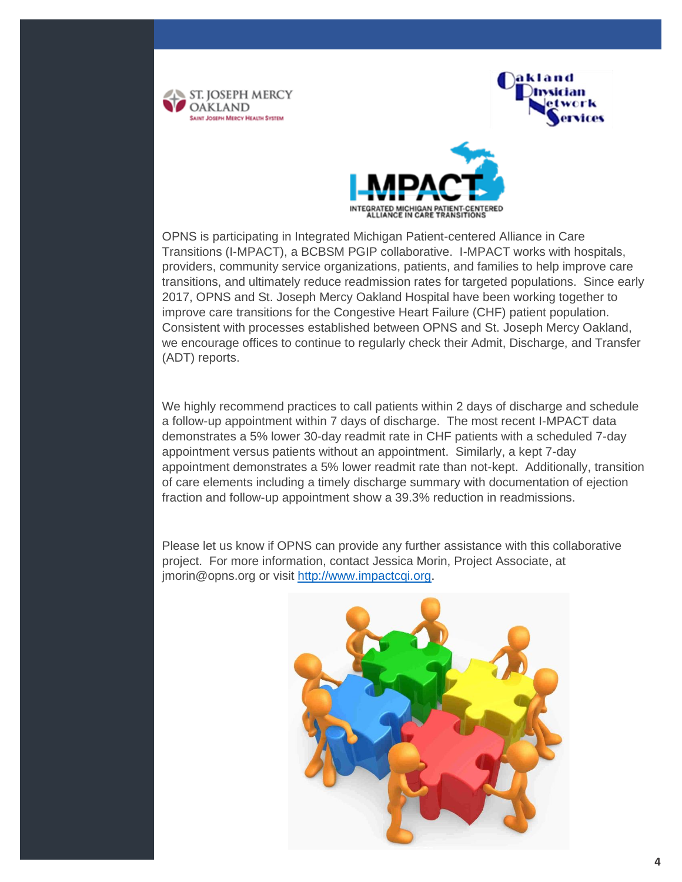





OPNS is participating in Integrated Michigan Patient-centered Alliance in Care Transitions (I-MPACT), a BCBSM PGIP collaborative. I-MPACT works with hospitals, providers, community service organizations, patients, and families to help improve care transitions, and ultimately reduce readmission rates for targeted populations. Since early 2017, OPNS and St. Joseph Mercy Oakland Hospital have been working together to improve care transitions for the Congestive Heart Failure (CHF) patient population. Consistent with processes established between OPNS and St. Joseph Mercy Oakland, we encourage offices to continue to regularly check their Admit, Discharge, and Transfer (ADT) reports.

We highly recommend practices to call patients within 2 days of discharge and schedule a follow-up appointment within 7 days of discharge. The most recent I-MPACT data demonstrates a 5% lower 30-day readmit rate in CHF patients with a scheduled 7-day appointment versus patients without an appointment. Similarly, a kept 7-day appointment demonstrates a 5% lower readmit rate than not-kept. Additionally, transition of care elements including a timely discharge summary with documentation of ejection fraction and follow-up appointment show a 39.3% reduction in readmissions.

Please let us know if OPNS can provide any further assistance with this collaborative project. For more information, contact Jessica Morin, Project Associate, at jmorin@opns.org or visit [http://www.impactcqi.org.](http://www.impactcqi.org/)

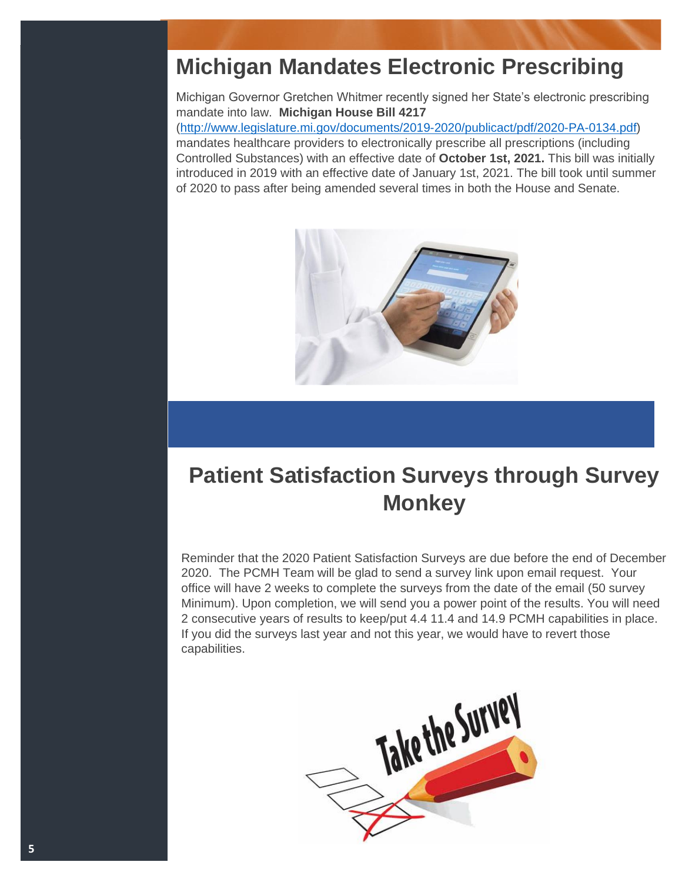# **Michigan Mandates Electronic Prescribing**

Michigan Governor Gretchen Whitmer recently signed her State's electronic prescribing mandate into law. **Michigan House Bill 4217** [\(http://www.legislature.mi.gov/documents/2019-2020/publicact/pdf/2020-PA-0134.pdf\)](http://www.legislature.mi.gov/documents/2019-2020/publicact/pdf/2020-PA-0134.pdf) mandates healthcare providers to electronically prescribe all prescriptions (including Controlled Substances) with an effective date of **October 1st, 2021.** This bill was initially introduced in 2019 with an effective date of January 1st, 2021. The bill took until summer of 2020 to pass after being amended several times in both the House and Senate.



# **Patient Satisfaction Surveys through Survey Monkey**

Reminder that the 2020 Patient Satisfaction Surveys are due before the end of December 2020. The PCMH Team will be glad to send a survey link upon email request. Your office will have 2 weeks to complete the surveys from the date of the email (50 survey Minimum). Upon completion, we will send you a power point of the results. You will need 2 consecutive years of results to keep/put 4.4 11.4 and 14.9 PCMH capabilities in place. If you did the surveys last year and not this year, we would have to revert those capabilities.

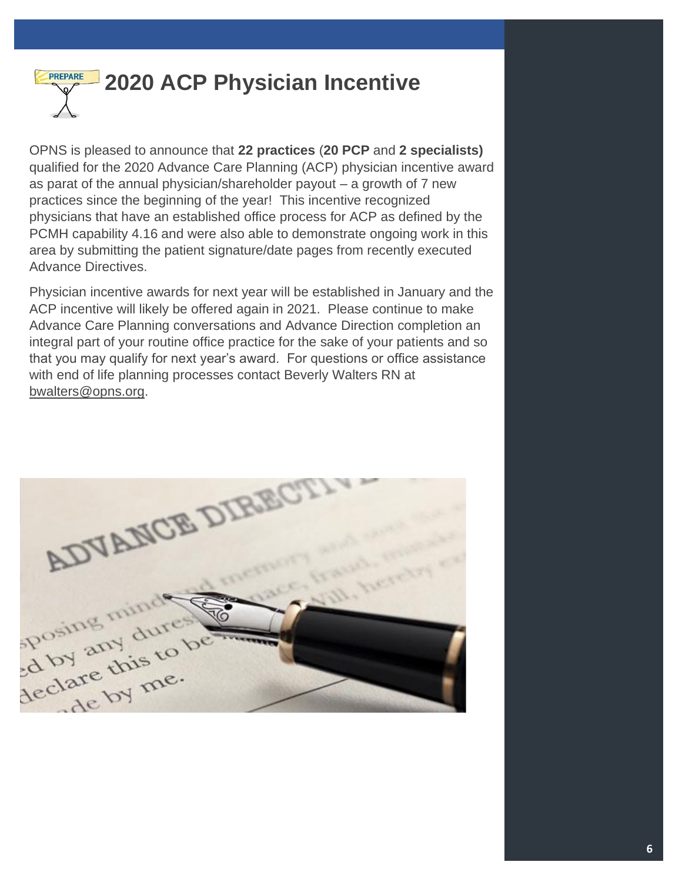

OPNS is pleased to announce that **22 practices** (**20 PCP** and **2 specialists)** qualified for the 2020 Advance Care Planning (ACP) physician incentive award as parat of the annual physician/shareholder payout – a growth of 7 new practices since the beginning of the year! This incentive recognized physicians that have an established office process for ACP as defined by the PCMH capability 4.16 and were also able to demonstrate ongoing work in this area by submitting the patient signature/date pages from recently executed Advance Directives.

Physician incentive awards for next year will be established in January and the ACP incentive will likely be offered again in 2021. Please continue to make Advance Care Planning conversations and Advance Direction completion an integral part of your routine office practice for the sake of your patients and so that you may qualify for next year's award. For questions or office assistance with end of life planning processes contact Beverly Walters RN at [bwalters@opns.org.](mailto:bwalters@opns.org)

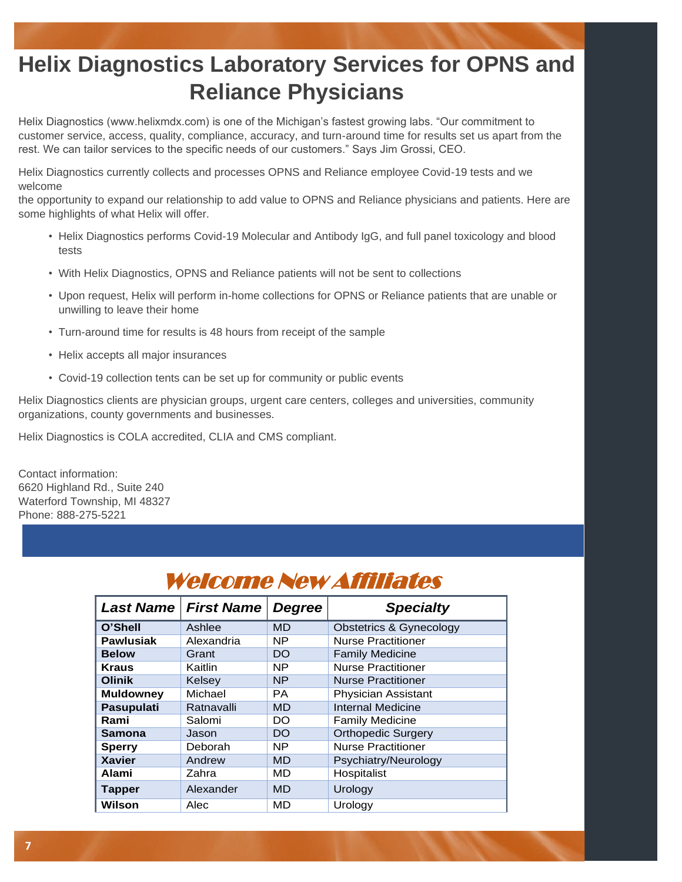# **Helix Diagnostics Laboratory Services for OPNS and Reliance Physicians**

Helix Diagnostics (www.helixmdx.com) is one of the Michigan's fastest growing labs. "Our commitment to customer service, access, quality, compliance, accuracy, and turn-around time for results set us apart from the rest. We can tailor services to the specific needs of our customers." Says Jim Grossi, CEO.

Helix Diagnostics currently collects and processes OPNS and Reliance employee Covid-19 tests and we welcome

the opportunity to expand our relationship to add value to OPNS and Reliance physicians and patients. Here are some highlights of what Helix will offer.

- Helix Diagnostics performs Covid-19 Molecular and Antibody IgG, and full panel toxicology and blood tests
- With Helix Diagnostics, OPNS and Reliance patients will not be sent to collections
- Upon request, Helix will perform in-home collections for OPNS or Reliance patients that are unable or unwilling to leave their home
- Turn-around time for results is 48 hours from receipt of the sample
- Helix accepts all major insurances
- Covid-19 collection tents can be set up for community or public events

Helix Diagnostics clients are physician groups, urgent care centers, colleges and universities, community organizations, county governments and businesses.

Helix Diagnostics is COLA accredited, CLIA and CMS compliant.

Contact information: 6620 Highland Rd., Suite 240 Waterford Township, MI 48327 Phone: 888-275-5221

Website: [www.helixmdx.com](http://www.helixmdx.com/)

| Weicome New Ammales |                               |           |                                    |  |
|---------------------|-------------------------------|-----------|------------------------------------|--|
|                     | <b>Last Name   First Name</b> | Degree    | <b>Specialty</b>                   |  |
| O'Shell             | Ashlee                        | MD        | <b>Obstetrics &amp; Gynecology</b> |  |
| <b>Pawlusiak</b>    | Alexandria                    | NP.       | <b>Nurse Practitioner</b>          |  |
| <b>Below</b>        | Grant                         | DO        | <b>Family Medicine</b>             |  |
| <b>Kraus</b>        | Kaitlin                       | NP.       | <b>Nurse Practitioner</b>          |  |
| <b>Olinik</b>       | Kelsey                        | <b>NP</b> | <b>Nurse Practitioner</b>          |  |
| <b>Muldowney</b>    | Michael                       | PA.       | <b>Physician Assistant</b>         |  |
| Pasupulati          | Ratnavalli                    | MD        | Internal Medicine                  |  |
| Rami                | Salomi                        | DO        | <b>Family Medicine</b>             |  |
| Samona              | Jason                         | DO        | <b>Orthopedic Surgery</b>          |  |
| <b>Sperry</b>       | Deborah                       | NP.       | <b>Nurse Practitioner</b>          |  |
| <b>Xavier</b>       | Andrew                        | <b>MD</b> | Psychiatry/Neurology               |  |
| Alami               | Zahra                         | MD        | Hospitalist                        |  |
| <b>Tapper</b>       | Alexander                     | <b>MD</b> | Urology                            |  |
| Wilson              | Alec                          | MD        | Urology                            |  |

### Welcome New Affiliates